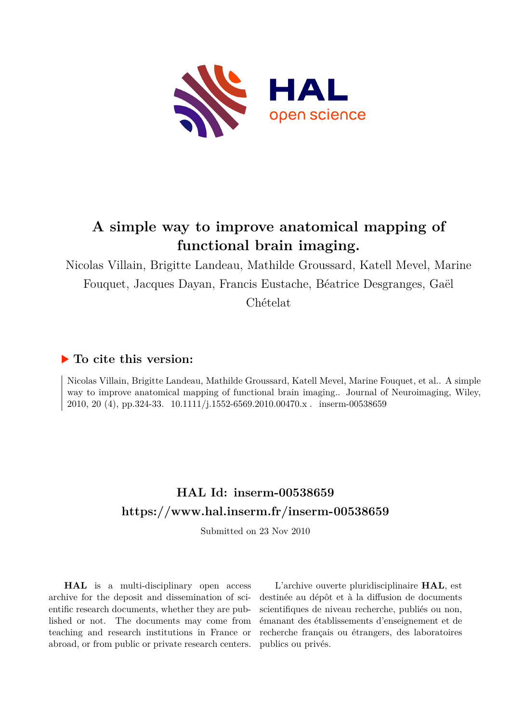

# **A simple way to improve anatomical mapping of functional brain imaging.**

Nicolas Villain, Brigitte Landeau, Mathilde Groussard, Katell Mevel, Marine Fouquet, Jacques Dayan, Francis Eustache, Béatrice Desgranges, Gaël Chételat

## **To cite this version:**

Nicolas Villain, Brigitte Landeau, Mathilde Groussard, Katell Mevel, Marine Fouquet, et al.. A simple way to improve anatomical mapping of functional brain imaging.. Journal of Neuroimaging, Wiley, 2010, 20 (4), pp.324-33. 10.1111/j.1552-6569.2010.00470.x. inserm-00538659

# **HAL Id: inserm-00538659 <https://www.hal.inserm.fr/inserm-00538659>**

Submitted on 23 Nov 2010

**HAL** is a multi-disciplinary open access archive for the deposit and dissemination of scientific research documents, whether they are published or not. The documents may come from teaching and research institutions in France or abroad, or from public or private research centers.

L'archive ouverte pluridisciplinaire **HAL**, est destinée au dépôt et à la diffusion de documents scientifiques de niveau recherche, publiés ou non, émanant des établissements d'enseignement et de recherche français ou étrangers, des laboratoires publics ou privés.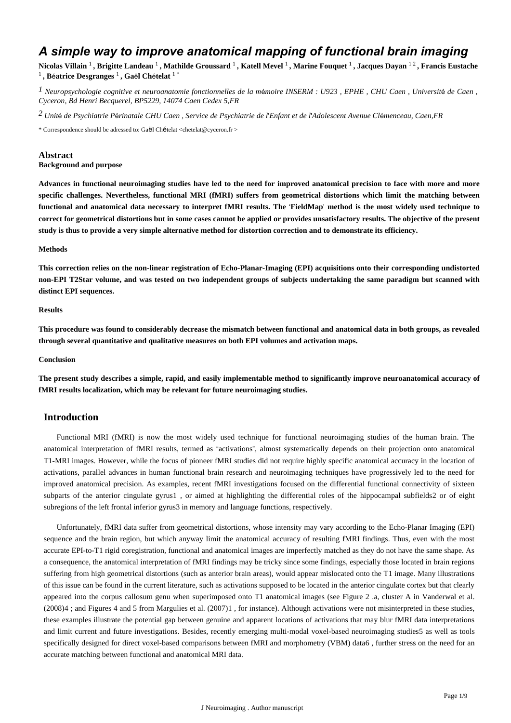## *A simple way to improve anatomical mapping of functional brain imaging*

**Nicolas Villain** <sup>1</sup> **, Brigitte Landeau** <sup>1</sup> **, Mathilde Groussard** <sup>1</sup> **, Katell Mevel** <sup>1</sup> **, Marine Fouquet** <sup>1</sup> **, Jacques Dayan** 1 2 **, Francis Eustache**  1 **, B**é**atrice Desgranges** <sup>1</sup> **, Ga**ë**l Ch**é**telat** 1 \*

*Neuropsychologie cognitive et neuroanatomie fonctionnelles de la m moire 1* <sup>é</sup> *INSERM : U923 , EPHE , CHU Caen , Universit*é *de Caen , Cyceron, Bd Henri Becquerel, BP5229, 14074 Caen Cedex 5,FR*

*Unit de Psychiatrie P rinatale 2* <sup>é</sup> <sup>é</sup> *CHU Caen , Service de Psychiatrie de l*'*Enfant et de l*'*Adolescent Avenue Cl*é*menceau, Caen,FR*

\* Correspondence should be adressed to: Gaël Chételat <chetelat@cyceron.fr >

## **Abstract**

## **Background and purpose**

**Advances in functional neuroimaging studies have led to the need for improved anatomical precision to face with more and more specific challenges. Nevertheless, functional MRI (fMRI) suffers from geometrical distortions which limit the matching between functional and anatomical data necessary to interpret fMRI results. The** '**FieldMap**' **method is the most widely used technique to correct for geometrical distortions but in some cases cannot be applied or provides unsatisfactory results. The objective of the present study is thus to provide a very simple alternative method for distortion correction and to demonstrate its efficiency.**

#### **Methods**

**This correction relies on the non-linear registration of Echo-Planar-Imaging (EPI) acquisitions onto their corresponding undistorted non-EPI T2Star volume, and was tested on two independent groups of subjects undertaking the same paradigm but scanned with distinct EPI sequences.**

#### **Results**

**This procedure was found to considerably decrease the mismatch between functional and anatomical data in both groups, as revealed through several quantitative and qualitative measures on both EPI volumes and activation maps.**

#### **Conclusion**

**The present study describes a simple, rapid, and easily implementable method to significantly improve neuroanatomical accuracy of fMRI results localization, which may be relevant for future neuroimaging studies.**

## **Introduction**

Functional MRI (fMRI) is now the most widely used technique for functional neuroimaging studies of the human brain. The anatomical interpretation of fMRI results, termed as "activations", almost systematically depends on their projection onto anatomical T1-MRI images. However, while the focus of pioneer fMRI studies did not require highly specific anatomical accuracy in the location of activations, parallel advances in human functional brain research and neuroimaging techniques have progressively led to the need for improved anatomical precision. As examples, recent fMRI investigations focused on the differential functional connectivity of sixteen subparts of the anterior cingulate gyrus1 , or aimed at highlighting the differential roles of the hippocampal subfields2 or of eight subregions of the left frontal inferior gyrus3 in memory and language functions, respectively.

Unfortunately, fMRI data suffer from geometrical distortions, whose intensity may vary according to the Echo-Planar Imaging (EPI) sequence and the brain region, but which anyway limit the anatomical accuracy of resulting fMRI findings. Thus, even with the most accurate EPI-to-T1 rigid coregistration, functional and anatomical images are imperfectly matched as they do not have the same shape. As a consequence, the anatomical interpretation of fMRI findings may be tricky since some findings, especially those located in brain regions suffering from high geometrical distortions (such as anterior brain areas), would appear mislocated onto the T1 image. Many illustrations of this issue can be found in the current literature, such as activations supposed to be located in the anterior cingulate cortex but that clearly appeared into the corpus callosum genu when superimposed onto T1 anatomical images (see Figure 2 .a, cluster A in Vanderwal et al. (2008)4 ; and Figures 4 and 5 from Margulies et al. (2007)1 , for instance). Although activations were not misinterpreted in these studies, these examples illustrate the potential gap between genuine and apparent locations of activations that may blur fMRI data interpretations and limit current and future investigations. Besides, recently emerging multi-modal voxel-based neuroimaging studies5 as well as tools specifically designed for direct voxel-based comparisons between fMRI and morphometry (VBM) data6 , further stress on the need for an accurate matching between functional and anatomical MRI data.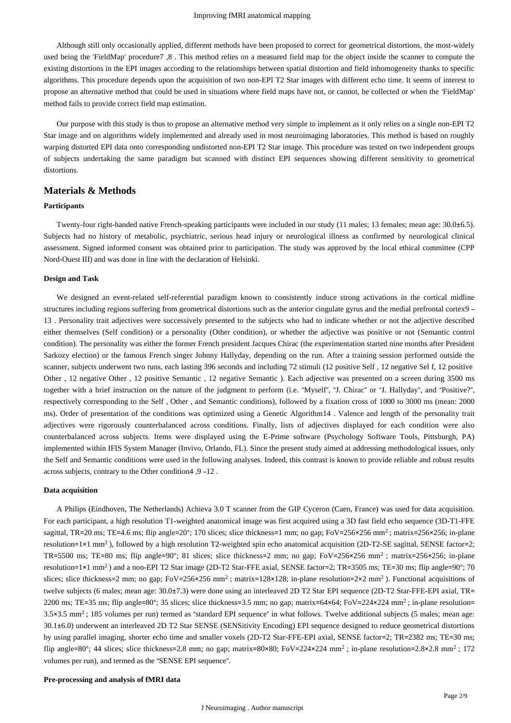Although still only occasionally applied, different methods have been proposed to correct for geometrical distortions, the most-widely used being the 'FieldMap' procedure7 ,8 . This method relies on a measured field map for the object inside the scanner to compute the existing distortions in the EPI images according to the relationships between spatial distortion and field inhomogeneity thanks to specific algorithms. This procedure depends upon the acquisition of two non-EPI T2 Star images with different echo time. It seems of interest to propose an alternative method that could be used in situations where field maps have not, or cannot, be collected or when the 'FieldMap' method fails to provide correct field map estimation.

Our purpose with this study is thus to propose an alternative method very simple to implement as it only relies on a single non-EPI T2 Star image and on algorithms widely implemented and already used in most neuroimaging laboratories. This method is based on roughly warping distorted EPI data onto corresponding undistorted non-EPI T2 Star image. This procedure was tested on two independent groups of subjects undertaking the same paradigm but scanned with distinct EPI sequences showing different sensitivity to geometrical distortions.

## **Materials & Methods**

## **Participants**

Twenty-four right-handed native French-speaking participants were included in our study (11 males; 13 females; mean age: 30.0±6.5). Subjects had no history of metabolic, psychiatric, serious head injury or neurological illness as confirmed by neurological clinical assessment. Signed informed consent was obtained prior to participation. The study was approved by the local ethical committee (CPP Nord-Ouest III) and was done in line with the declaration of Helsinki.

#### **Design and Task**

We designed an event-related self-referential paradigm known to consistently induce strong activations in the cortical midline structures including regions suffering from geometrical distortions such as the anterior cingulate gyrus and the medial prefrontal cortex9 – 13 . Personality trait adjectives were successively presented to the subjects who had to indicate whether or not the adjective described either themselves (Self condition) or a personality (Other condition), or whether the adjective was positive or not (Semantic control condition). The personality was either the former French president Jacques Chirac (the experimentation started nine months after President Sarkozy election) or the famous French singer Johnny Hallyday, depending on the run. After a training session performed outside the scanner, subjects underwent two runs, each lasting 396 seconds and including 72 stimuli (12 positive Self , 12 negative Sel f, 12 positive Other , 12 negative Other , 12 positive Semantic , 12 negative Semantic ). Each adjective was presented on a screen during 3500 ms together with a brief instruction on the nature of the judgment to perform (i.e. "Myself", "J. Chirac" or "J. Hallyday", and "Positive?", respectively corresponding to the Self , Other , and Semantic conditions), followed by a fixation cross of 1000 to 3000 ms (mean: 2000 ms). Order of presentation of the conditions was optimized using a Genetic Algorithm14 . Valence and length of the personality trait adjectives were rigorously counterbalanced across conditions. Finally, lists of adjectives displayed for each condition were also counterbalanced across subjects. Items were displayed using the E-Prime software (Psychology Software Tools, Pittsburgh, PA) implemented within IFIS System Manager (Invivo, Orlando, FL). Since the present study aimed at addressing methodological issues, only the Self and Semantic conditions were used in the following analyses. Indeed, this contrast is known to provide reliable and robust results across subjects, contrary to the Other condition4 ,9 –12 .

#### **Data acquisition**

A Philips (Eindhoven, The Netherlands) Achieva 3.0 T scanner from the GIP Cyceron (Caen, France) was used for data acquisition. For each participant, a high resolution T1-weighted anatomical image was first acquired using a 3D fast field echo sequence (3D-T1-FFE sagittal, TR=20 ms; TE=4.6 ms; flip angle=20°; 170 slices; slice thickness=1 mm; no gap; FoV=256×256 mm<sup>2</sup>; matrix=256×256; in-plane resolution=1×1 mm<sup>2</sup>), followed by a high resolution T2-weighted spin echo anatomical acquisition (2D-T2-SE sagittal, SENSE factor=2; TR=5500 ms; TE=80 ms; flip angle=90°; 81 slices; slice thickness=2 mm; no gap; FoV=256×256 mm<sup>2</sup>; matrix=256×256; in-plane resolution=1×1 mm<sup>2</sup>) and a non-EPI T2 Star image (2D-T2 Star-FFE axial, SENSE factor=2; TR=3505 ms; TE=30 ms; flip angle=90°; 70 slices; slice thickness=2 mm; no gap;  $FoV = 256 \times 256$  mm<sup>2</sup>; matrix=128×128; in-plane resolution=2×2 mm<sup>2</sup>). Functional acquisitions of twelve subjects (6 males; mean age: 30.0±7.3) were done using an interleaved 2D T2 Star EPI sequence (2D-T2 Star-FFE-EPI axial, TR= 2200 ms; TE=35 ms; flip angle=80°; 35 slices; slice thickness=3.5 mm; no gap; matrix=64×64; FoV=224×224 mm<sup>2</sup>; in-plane resolution= 3.5×3.5 mm<sup>2</sup>; 185 volumes per run) termed as "standard EPI sequence" in what follows. Twelve additional subjects (5 males; mean age: 30.1±6.0) underwent an interleaved 2D T2 Star SENSE (SENSitivity Encoding) EPI sequence designed to reduce geometrical distortions by using parallel imaging, shorter echo time and smaller voxels (2D-T2 Star-FFE-EPI axial, SENSE factor=2; TR=2382 ms; TE=30 ms; flip angle=80°; 44 slices; slice thickness=2.8 mm; no gap; matrix=80×80; FoV=224×224 mm<sup>2</sup>; in-plane resolution=2.8×2.8 mm<sup>2</sup>; 172 volumes per run), and termed as the "SENSE EPI sequence".

## **Pre-processing and analysis of fMRI data**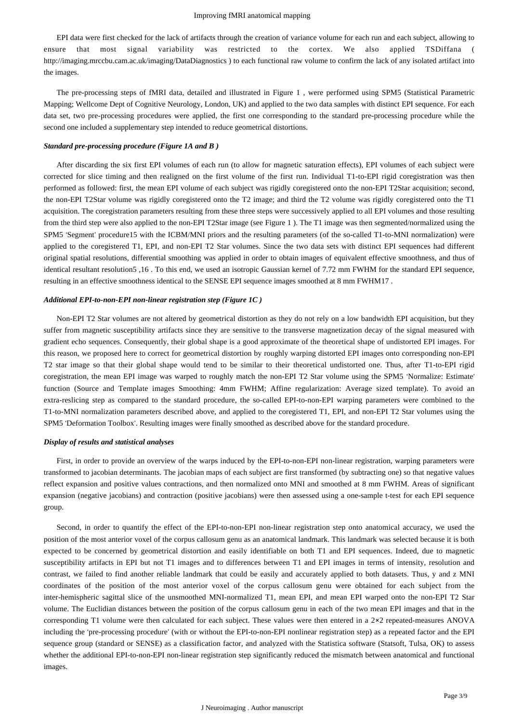EPI data were first checked for the lack of artifacts through the creation of variance volume for each run and each subject, allowing to ensure that most signal variability was restricted to the cortex. We also applied TSDiffana ( http://imaging.mrccbu.cam.ac.uk/imaging/DataDiagnostics ) to each functional raw volume to confirm the lack of any isolated artifact into the images.

The pre-processing steps of fMRI data, detailed and illustrated in Figure 1 , were performed using SPM5 (Statistical Parametric Mapping; Wellcome Dept of Cognitive Neurology, London, UK) and applied to the two data samples with distinct EPI sequence. For each data set, two pre-processing procedures were applied, the first one corresponding to the standard pre-processing procedure while the second one included a supplementary step intended to reduce geometrical distortions.

#### *Standard pre-processing procedure (Figure 1A and B )*

After discarding the six first EPI volumes of each run (to allow for magnetic saturation effects), EPI volumes of each subject were corrected for slice timing and then realigned on the first volume of the first run. Individual T1-to-EPI rigid coregistration was then performed as followed: first, the mean EPI volume of each subject was rigidly coregistered onto the non-EPI T2Star acquisition; second, the non-EPI T2Star volume was rigidly coregistered onto the T2 image; and third the T2 volume was rigidly coregistered onto the T1 acquisition. The coregistration parameters resulting from these three steps were successively applied to all EPI volumes and those resulting from the third step were also applied to the non-EPI T2Star image (see Figure 1). The T1 image was then segmented/normalized using the SPM5 'Segment' procedure15 with the ICBM/MNI priors and the resulting parameters (of the so-called T1-to-MNI normalization) were applied to the coregistered T1, EPI, and non-EPI T2 Star volumes. Since the two data sets with distinct EPI sequences had different original spatial resolutions, differential smoothing was applied in order to obtain images of equivalent effective smoothness, and thus of identical resultant resolution5 ,16 . To this end, we used an isotropic Gaussian kernel of 7.72 mm FWHM for the standard EPI sequence, resulting in an effective smoothness identical to the SENSE EPI sequence images smoothed at 8 mm FWHM17 .

#### *Additional EPI-to-non-EPI non-linear registration step (Figure 1C )*

Non-EPI T2 Star volumes are not altered by geometrical distortion as they do not rely on a low bandwidth EPI acquisition, but they suffer from magnetic susceptibility artifacts since they are sensitive to the transverse magnetization decay of the signal measured with gradient echo sequences. Consequently, their global shape is a good approximate of the theoretical shape of undistorted EPI images. For this reason, we proposed here to correct for geometrical distortion by roughly warping distorted EPI images onto corresponding non-EPI T2 star image so that their global shape would tend to be similar to their theoretical undistorted one. Thus, after T1-to-EPI rigid coregistration, the mean EPI image was warped to roughly match the non-EPI T2 Star volume using the SPM5 'Normalize: Estimate' function (Source and Template images Smoothing: 4mm FWHM; Affine regularization: Average sized template). To avoid an extra-reslicing step as compared to the standard procedure, the so-called EPI-to-non-EPI warping parameters were combined to the T1-to-MNI normalization parameters described above, and applied to the coregistered T1, EPI, and non-EPI T2 Star volumes using the SPM5 'Deformation Toolbox'. Resulting images were finally smoothed as described above for the standard procedure.

#### *Display of results and statistical analyses*

First, in order to provide an overview of the warps induced by the EPI-to-non-EPI non-linear registration, warping parameters were transformed to jacobian determinants. The jacobian maps of each subject are first transformed (by subtracting one) so that negative values reflect expansion and positive values contractions, and then normalized onto MNI and smoothed at 8 mm FWHM. Areas of significant expansion (negative jacobians) and contraction (positive jacobians) were then assessed using a one-sample t-test for each EPI sequence group.

Second, in order to quantify the effect of the EPI-to-non-EPI non-linear registration step onto anatomical accuracy, we used the position of the most anterior voxel of the corpus callosum genu as an anatomical landmark. This landmark was selected because it is both expected to be concerned by geometrical distortion and easily identifiable on both T1 and EPI sequences. Indeed, due to magnetic susceptibility artifacts in EPI but not T1 images and to differences between T1 and EPI images in terms of intensity, resolution and contrast, we failed to find another reliable landmark that could be easily and accurately applied to both datasets. Thus, y and z MNI coordinates of the position of the most anterior voxel of the corpus callosum genu were obtained for each subject from the inter-hemispheric sagittal slice of the unsmoothed MNI-normalized T1, mean EPI, and mean EPI warped onto the non-EPI T2 Star volume. The Euclidian distances between the position of the corpus callosum genu in each of the two mean EPI images and that in the corresponding T1 volume were then calculated for each subject. These values were then entered in a  $2\times 2$  repeated-measures ANOVA including the 'pre-processing procedure' (with or without the EPI-to-non-EPI nonlinear registration step) as a repeated factor and the EPI sequence group (standard or SENSE) as a classification factor, and analyzed with the Statistica software (Statsoft, Tulsa, OK) to assess whether the additional EPI-to-non-EPI non-linear registration step significantly reduced the mismatch between anatomical and functional images.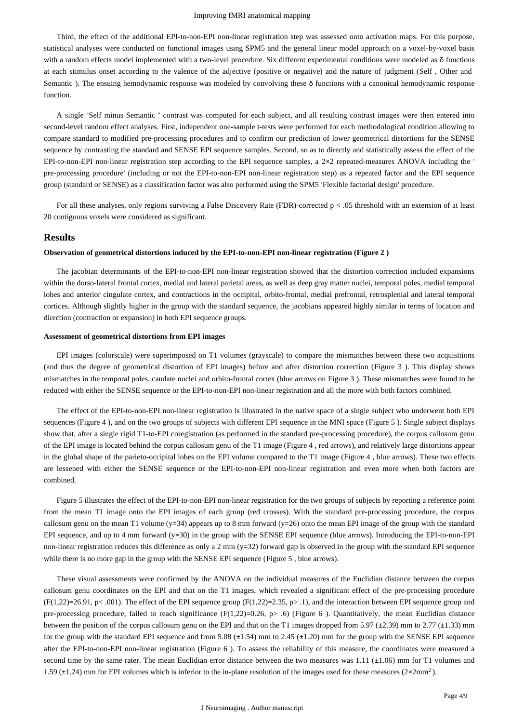Third, the effect of the additional EPI-to-non-EPI non-linear registration step was assessed onto activation maps. For this purpose, statistical analyses were conducted on functional images using SPM5 and the general linear model approach on a voxel-by-voxel basis with a random effects model implemented with a two-level procedure. Six different experimental conditions were modeled as δ functions at each stimulus onset according to the valence of the adjective (positive or negative) and the nature of judgment (Self , Other and Semantic ). The ensuing hemodynamic response was modeled by convolving these δ functions with a canonical hemodynamic response function.

A single "Self minus Semantic " contrast was computed for each subject, and all resulting contrast images were then entered into second-level random effect analyses. First, independent one-sample t-tests were performed for each methodological condition allowing to compare standard to modified pre-processing procedures and to confirm our prediction of lower geometrical distortions for the SENSE sequence by contrasting the standard and SENSE EPI sequence samples. Second, so as to directly and statistically assess the effect of the EPI-to-non-EPI non-linear registration step according to the EPI sequence samples, a 2×2 repeated-measures ANOVA including the ' pre-processing procedure' (including or not the EPI-to-non-EPI non-linear registration step) as a repeated factor and the EPI sequence group (standard or SENSE) as a classification factor was also performed using the SPM5 'Flexible factorial design' procedure.

For all these analyses, only regions surviving a False Discovery Rate (FDR)-corrected  $p < .05$  threshold with an extension of at least 20 contiguous voxels were considered as significant.

### **Results**

#### **Observation of geometrical distortions induced by the EPI-to-non-EPI non-linear registration (Figure 2 )**

The jacobian determinants of the EPI-to-non-EPI non-linear registration showed that the distortion correction included expansions within the dorso-lateral frontal cortex, medial and lateral parietal areas, as well as deep gray matter nuclei, temporal poles, medial temporal lobes and anterior cingulate cortex, and contractions in the occipital, orbito-frontal, medial prefrontal, retrosplenial and lateral temporal cortices. Although slightly higher in the group with the standard sequence, the jacobians appeared highly similar in terms of location and direction (contraction or expansion) in both EPI sequence groups.

#### **Assessment of geometrical distortions from EPI images**

EPI images (colorscale) were superimposed on T1 volumes (grayscale) to compare the mismatches between these two acquisitions (and thus the degree of geometrical distortion of EPI images) before and after distortion correction (Figure 3 ). This display shows mismatches in the temporal poles, caudate nuclei and orbito-frontal cortex (blue arrows on Figure 3 ). These mismatches were found to be reduced with either the SENSE sequence or the EPI-to-non-EPI non-linear registration and all the more with both factors combined.

The effect of the EPI-to-non-EPI non-linear registration is illustrated in the native space of a single subject who underwent both EPI sequences (Figure 4 ), and on the two groups of subjects with different EPI sequence in the MNI space (Figure 5 ). Single subject displays show that, after a single rigid T1-to-EPI coregistration (as performed in the standard pre-processing procedure), the corpus callosum genu of the EPI image is located behind the corpus callosum genu of the T1 image (Figure 4 , red arrows), and relatively large distortions appear in the global shape of the parieto-occipital lobes on the EPI volume compared to the T1 image (Figure 4 , blue arrows). These two effects are lessened with either the SENSE sequence or the EPI-to-non-EPI non-linear registration and even more when both factors are combined.

Figure 5 illustrates the effect of the EPI-to-non-EPI non-linear registration for the two groups of subjects by reporting a reference point from the mean T1 image onto the EPI images of each group (red crosses). With the standard pre-processing procedure, the corpus callosum genu on the mean T1 volume ( $y=34$ ) appears up to 8 mm forward ( $y=26$ ) onto the mean EPI image of the group with the standard EPI sequence, and up to 4 mm forward (y=30) in the group with the SENSE EPI sequence (blue arrows). Introducing the EPI-to-non-EPI non-linear registration reduces this difference as only a 2 mm (y=32) forward gap is observed in the group with the standard EPI sequence while there is no more gap in the group with the SENSE EPI sequence (Figure 5 , blue arrows).

These visual assessments were confirmed by the ANOVA on the individual measures of the Euclidian distance between the corpus callosum genu coordinates on the EPI and that on the T1 images, which revealed a significant effect of the pre-processing procedure  $(F(1,22)=26.91, p< .001)$ . The effect of the EPI sequence group  $(F(1,22)=2.35, p> .1)$ , and the interaction between EPI sequence group and pre-processing procedure, failed to reach significance (F(1,22)=0.26, p> .6) (Figure 6 ). Quantitatively, the mean Euclidian distance between the position of the corpus callosum genu on the EPI and that on the T1 images dropped from 5.97 (±2.39) mm to 2.77 (±1.33) mm for the group with the standard EPI sequence and from  $5.08 \text{ (+1.54)}$  mm to  $2.45 \text{ (+1.20)}$  mm for the group with the SENSE EPI sequence after the EPI-to-non-EPI non-linear registration (Figure 6 ). To assess the reliability of this measure, the coordinates were measured a second time by the same rater. The mean Euclidian error distance between the two measures was 1.11 ( $\pm 1.06$ ) mm for T1 volumes and 1.59 ( $\pm$ 1.24) mm for EPI volumes which is inferior to the in-plane resolution of the images used for these measures ( $2 \times 2mm^2$ ).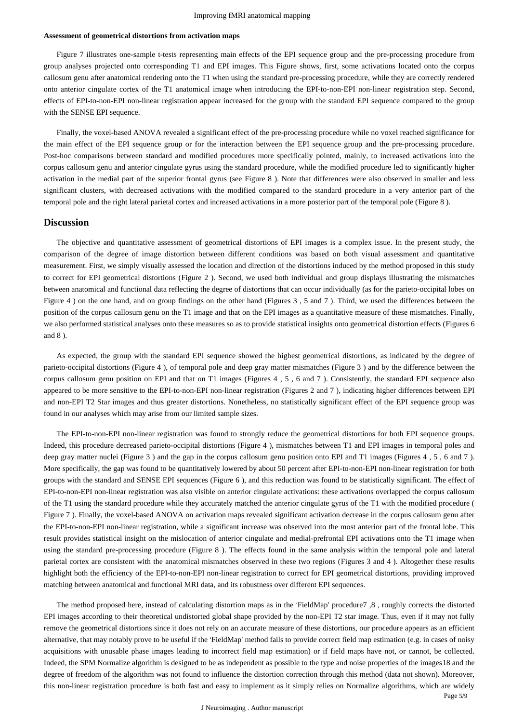#### **Assessment of geometrical distortions from activation maps**

Figure 7 illustrates one-sample t-tests representing main effects of the EPI sequence group and the pre-processing procedure from group analyses projected onto corresponding T1 and EPI images. This Figure shows, first, some activations located onto the corpus callosum genu after anatomical rendering onto the T1 when using the standard pre-processing procedure, while they are correctly rendered onto anterior cingulate cortex of the T1 anatomical image when introducing the EPI-to-non-EPI non-linear registration step. Second, effects of EPI-to-non-EPI non-linear registration appear increased for the group with the standard EPI sequence compared to the group with the SENSE EPI sequence.

Finally, the voxel-based ANOVA revealed a significant effect of the pre-processing procedure while no voxel reached significance for the main effect of the EPI sequence group or for the interaction between the EPI sequence group and the pre-processing procedure. Post-hoc comparisons between standard and modified procedures more specifically pointed, mainly, to increased activations into the corpus callosum genu and anterior cingulate gyrus using the standard procedure, while the modified procedure led to significantly higher activation in the medial part of the superior frontal gyrus (see Figure 8 ). Note that differences were also observed in smaller and less significant clusters, with decreased activations with the modified compared to the standard procedure in a very anterior part of the temporal pole and the right lateral parietal cortex and increased activations in a more posterior part of the temporal pole (Figure 8 ).

### **Discussion**

The objective and quantitative assessment of geometrical distortions of EPI images is a complex issue. In the present study, the comparison of the degree of image distortion between different conditions was based on both visual assessment and quantitative measurement. First, we simply visually assessed the location and direction of the distortions induced by the method proposed in this study to correct for EPI geometrical distortions (Figure 2 ). Second, we used both individual and group displays illustrating the mismatches between anatomical and functional data reflecting the degree of distortions that can occur individually (as for the parieto-occipital lobes on Figure 4 ) on the one hand, and on group findings on the other hand (Figures 3 , 5 and 7 ). Third, we used the differences between the position of the corpus callosum genu on the T1 image and that on the EPI images as a quantitative measure of these mismatches. Finally, we also performed statistical analyses onto these measures so as to provide statistical insights onto geometrical distortion effects (Figures 6 and 8 ).

As expected, the group with the standard EPI sequence showed the highest geometrical distortions, as indicated by the degree of parieto-occipital distortions (Figure 4 ), of temporal pole and deep gray matter mismatches (Figure 3 ) and by the difference between the corpus callosum genu position on EPI and that on T1 images (Figures 4 , 5 , 6 and 7 ). Consistently, the standard EPI sequence also appeared to be more sensitive to the EPI-to-non-EPI non-linear registration (Figures 2 and 7 ), indicating higher differences between EPI and non-EPI T2 Star images and thus greater distortions. Nonetheless, no statistically significant effect of the EPI sequence group was found in our analyses which may arise from our limited sample sizes.

The EPI-to-non-EPI non-linear registration was found to strongly reduce the geometrical distortions for both EPI sequence groups. Indeed, this procedure decreased parieto-occipital distortions (Figure 4 ), mismatches between T1 and EPI images in temporal poles and deep gray matter nuclei (Figure 3 ) and the gap in the corpus callosum genu position onto EPI and T1 images (Figures 4 , 5 , 6 and 7 ). More specifically, the gap was found to be quantitatively lowered by about 50 percent after EPI-to-non-EPI non-linear registration for both groups with the standard and SENSE EPI sequences (Figure 6 ), and this reduction was found to be statistically significant. The effect of EPI-to-non-EPI non-linear registration was also visible on anterior cingulate activations: these activations overlapped the corpus callosum of the T1 using the standard procedure while they accurately matched the anterior cingulate gyrus of the T1 with the modified procedure ( Figure 7 ). Finally, the voxel-based ANOVA on activation maps revealed significant activation decrease in the corpus callosum genu after the EPI-to-non-EPI non-linear registration, while a significant increase was observed into the most anterior part of the frontal lobe. This result provides statistical insight on the mislocation of anterior cingulate and medial-prefrontal EPI activations onto the T1 image when using the standard pre-processing procedure (Figure 8 ). The effects found in the same analysis within the temporal pole and lateral parietal cortex are consistent with the anatomical mismatches observed in these two regions (Figures 3 and 4 ). Altogether these results highlight both the efficiency of the EPI-to-non-EPI non-linear registration to correct for EPI geometrical distortions, providing improved matching between anatomical and functional MRI data, and its robustness over different EPI sequences.

The method proposed here, instead of calculating distortion maps as in the 'FieldMap' procedure7 ,8 , roughly corrects the distorted EPI images according to their theoretical undistorted global shape provided by the non-EPI T2 star image. Thus, even if it may not fully remove the geometrical distortions since it does not rely on an accurate measure of these distortions, our procedure appears as an efficient alternative, that may notably prove to be useful if the 'FieldMap' method fails to provide correct field map estimation (e.g. in cases of noisy acquisitions with unusable phase images leading to incorrect field map estimation) or if field maps have not, or cannot, be collected. Indeed, the SPM Normalize algorithm is designed to be as independent as possible to the type and noise properties of the images18 and the degree of freedom of the algorithm was not found to influence the distortion correction through this method (data not shown). Moreover, this non-linear registration procedure is both fast and easy to implement as it simply relies on Normalize algorithms, which are widely

Page 5/9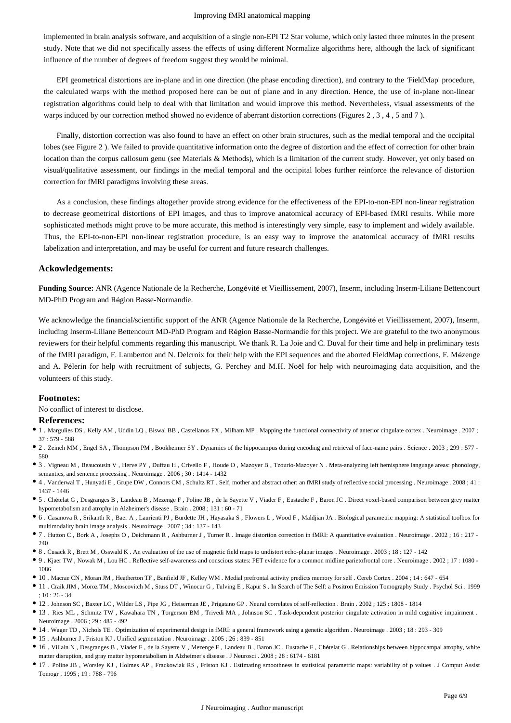implemented in brain analysis software, and acquisition of a single non-EPI T2 Star volume, which only lasted three minutes in the present study. Note that we did not specifically assess the effects of using different Normalize algorithms here, although the lack of significant influence of the number of degrees of freedom suggest they would be minimal.

EPI geometrical distortions are in-plane and in one direction (the phase encoding direction), and contrary to the 'FieldMap' procedure, the calculated warps with the method proposed here can be out of plane and in any direction. Hence, the use of in-plane non-linear registration algorithms could help to deal with that limitation and would improve this method. Nevertheless, visual assessments of the warps induced by our correction method showed no evidence of aberrant distortion corrections (Figures 2 , 3 , 4 , 5 and 7 ).

Finally, distortion correction was also found to have an effect on other brain structures, such as the medial temporal and the occipital lobes (see Figure 2 ). We failed to provide quantitative information onto the degree of distortion and the effect of correction for other brain location than the corpus callosum genu (see Materials & Methods), which is a limitation of the current study. However, yet only based on visual/qualitative assessment, our findings in the medial temporal and the occipital lobes further reinforce the relevance of distortion correction for fMRI paradigms involving these areas.

As a conclusion, these findings altogether provide strong evidence for the effectiveness of the EPI-to-non-EPI non-linear registration to decrease geometrical distortions of EPI images, and thus to improve anatomical accuracy of EPI-based fMRI results. While more sophisticated methods might prove to be more accurate, this method is interestingly very simple, easy to implement and widely available. Thus, the EPI-to-non-EPI non-linear registration procedure, is an easy way to improve the anatomical accuracy of fMRI results labelization and interpretation, and may be useful for current and future research challenges.

#### **Ackowledgements:**

**Funding Source:** ANR (Agence Nationale de la Recherche, Longévité et Vieillissement, 2007), Inserm, including Inserm-Liliane Bettencourt MD-PhD Program and Région Basse-Normandie.

We acknowledge the financial/scientific support of the ANR (Agence Nationale de la Recherche, Longévité et Vieillissement, 2007), Inserm, including Inserm-Liliane Bettencourt MD-PhD Program and Région Basse-Normandie for this project. We are grateful to the two anonymous reviewers for their helpful comments regarding this manuscript. We thank R. La Joie and C. Duval for their time and help in preliminary tests of the fMRI paradigm, F. Lamberton and N. Delcroix for their help with the EPI sequences and the aborted FieldMap corrections, F. Mézenge and A. Pélerin for help with recruitment of subjects, G. Perchey and M.H. Noël for help with neuroimaging data acquisition, and the volunteers of this study.

## **Footnotes:**

No conflict of interest to disclose.

#### **References:**

- 1 . Margulies DS , Kelly AM , Uddin LQ , Biswal BB , Castellanos FX , Milham MP . Mapping the functional connectivity of anterior cingulate cortex . Neuroimage . 2007 ; 37 : 579 - 588
- 2 . Zeineh MM , Engel SA , Thompson PM , Bookheimer SY . Dynamics of the hippocampus during encoding and retrieval of face-name pairs . Science . 2003 ; 299 : 577 580
- 3 . Vigneau M , Beaucousin V , Herve PY , Duffau H , Crivello F , Houde O , Mazoyer B , Tzourio-Mazoyer N . Meta-analyzing left hemisphere language areas: phonology, semantics, and sentence processing . Neuroimage . 2006 ; 30 : 1414 - 1432
- 4 . Vanderwal T , Hunyadi E , Grupe DW , Connors CM , Schultz RT . Self, mother and abstract other: an fMRI study of reflective social processing . Neuroimage . 2008 ; 41 : 1437 - 1446
- 5 . Chételat G , Desgranges B , Landeau B , Mezenge F , Poline JB , de la Sayette V , Viader F , Eustache F , Baron JC . Direct voxel-based comparison between grey matter hypometabolism and atrophy in Alzheimer's disease . Brain . 2008 ; 131 : 60 - 71
- 6 . Casanova R , Srikanth R , Baer A , Laurienti PJ , Burdette JH , Hayasaka S , Flowers L , Wood F , Maldjian JA . Biological parametric mapping: A statistical toolbox for multimodality brain image analysis . Neuroimage . 2007 ; 34 : 137 - 143
- 7 . Hutton C , Bork A , Josephs O , Deichmann R , Ashburner J , Turner R . Image distortion correction in fMRI: A quantitative evaluation . Neuroimage . 2002 ; 16 : 217  $240$
- 8 . Cusack R , Brett M , Osswald K . An evaluation of the use of magnetic field maps to undistort echo-planar images . Neuroimage . 2003 ; 18 : 127 142
- 9 . Kjaer TW , Nowak M , Lou HC . Reflective self-awareness and conscious states: PET evidence for a common midline parietofrontal core . Neuroimage . 2002 ; 17 : 1080 1086
- 10 . Macrae CN , Moran JM , Heatherton TF , Banfield JF , Kelley WM . Medial prefrontal activity predicts memory for self . Cereb Cortex . 2004 ; 14 : 647 654
- 11 . Craik JIM , Moroz TM , Moscovitch M , Stuss DT , Winocur G , Tulving E , Kapur S . In Search of The Self: a Positron Emission Tomography Study . Psychol Sci . 1999  $: 10 : 26 - 34$
- 12 . Johnson SC , Baxter LC , Wilder LS , Pipe JG , Heiserman JE , Prigatano GP . Neural correlates of self-reflection . Brain . 2002 ; 125 : 1808 1814
- 13 . Ries ML , Schmitz TW , Kawahara TN , Torgerson BM , Trivedi MA , Johnson SC . Task-dependent posterior cingulate activation in mild cognitive impairment . Neuroimage . 2006 ; 29 : 485 - 492
- 14 . Wager TD , Nichols TE . Optimization of experimental design in fMRI: a general framework using a genetic algorithm . Neuroimage . 2003 ; 18 : 293 309
- 15 . Ashburner J , Friston KJ . Unified segmentation . Neuroimage . 2005 ; 26 : 839 851
- 16 . Villain N , Desgranges B , Viader F , de la Sayette V , Mezenge F , Landeau B , Baron JC , Eustache F , Chételat G . Relationships between hippocampal atrophy, white matter disruption, and gray matter hypometabolism in Alzheimer's disease . J Neurosci . 2008 ; 28 : 6174 - 6181
- 17 . Poline JB , Worsley KJ , Holmes AP , Frackowiak RS , Friston KJ . Estimating smoothness in statistical parametric maps: variability of p values . J Comput Assist Tomogr . 1995 ; 19 : 788 - 796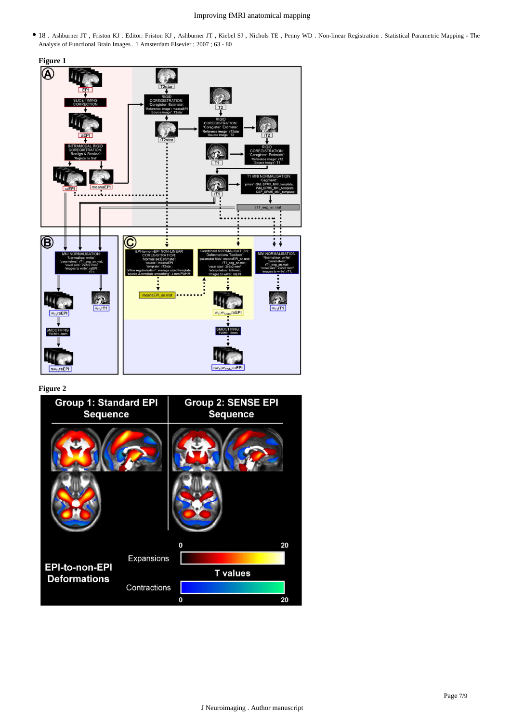## Improving fMRI anatomical mapping

18 . Ashburner JT , Friston KJ . Editor: Friston KJ , Ashburner JT , Kiebel SJ , Nichols TE , Penny WD . Non-linear Registration . Statistical Parametric Mapping - The Analysis of Functional Brain Images . 1 Amsterdam Elsevier ; 2007 ; 63 - 80





**Figure 2**

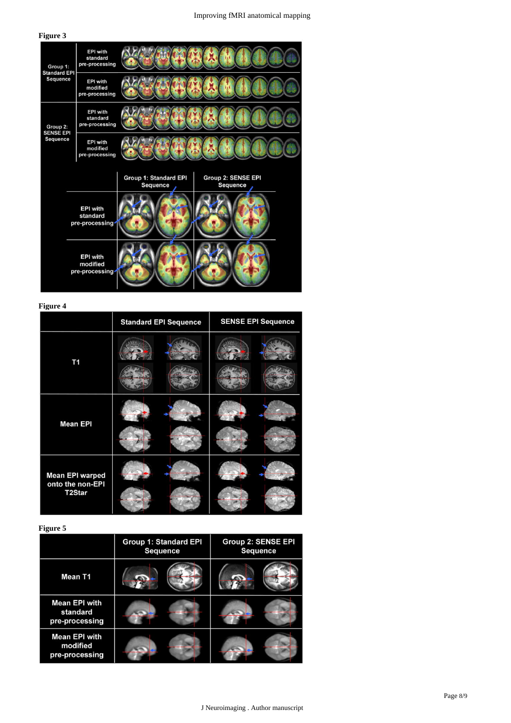## Improving fMRI anatomical mapping

## **Figure 3**

| Group 1:<br><b>Standard EPI</b><br><b>Sequence</b> | <b>EPI with</b><br>standard<br>pre-processing |                                   |                                              |
|----------------------------------------------------|-----------------------------------------------|-----------------------------------|----------------------------------------------|
|                                                    | <b>EPI with</b><br>modified<br>pre-processing |                                   |                                              |
| Group 2:<br><b>SENSE EPI</b><br>Sequence           | <b>EPI with</b><br>standard<br>pre-processing |                                   |                                              |
|                                                    | <b>EPI with</b><br>modified<br>pre-processing |                                   |                                              |
|                                                    |                                               | Group 1: Standard EPI<br>Sequence | <b>Group 2: SENSE EPI</b><br><b>Sequence</b> |
| <b>EPI with</b><br>standard<br>pre-processing      |                                               |                                   |                                              |
|                                                    | <b>EPI with</b><br>modified<br>pre-processing |                                   |                                              |

**Figure 4**

|                                                                   | <b>Standard EPI Sequence</b> | <b>SENSE EPI Sequence</b> |
|-------------------------------------------------------------------|------------------------------|---------------------------|
| T <sub>1</sub>                                                    |                              |                           |
| <b>Mean EPI</b>                                                   |                              |                           |
| <b>Mean EPI warped</b><br>onto the non-EPI<br>T <sub>2</sub> Star |                              |                           |

**Figure 5**

|                                                    | <b>Group 1: Standard EPI</b><br><b>Sequence</b> | <b>Group 2: SENSE EPI</b><br><b>Sequence</b> |
|----------------------------------------------------|-------------------------------------------------|----------------------------------------------|
| Mean T1                                            |                                                 |                                              |
| <b>Mean EPI with</b><br>standard<br>pre-processing |                                                 |                                              |
| <b>Mean EPI with</b><br>modified<br>pre-processing |                                                 |                                              |